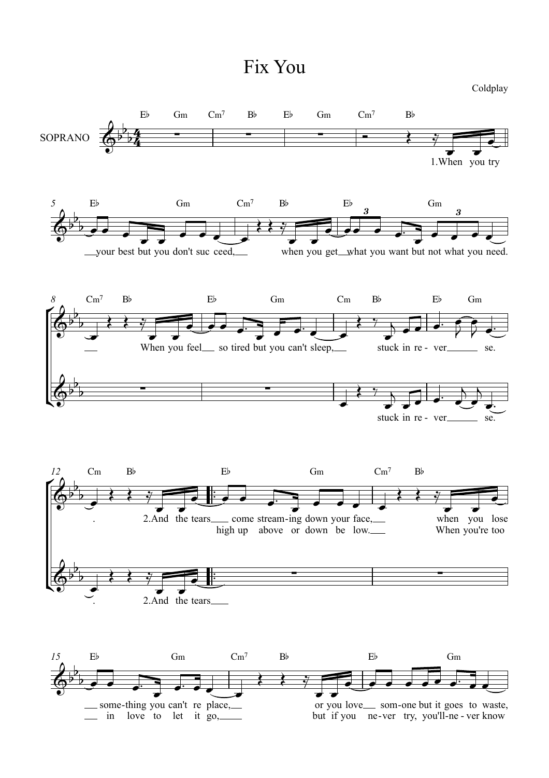## Fix You

Coldplay

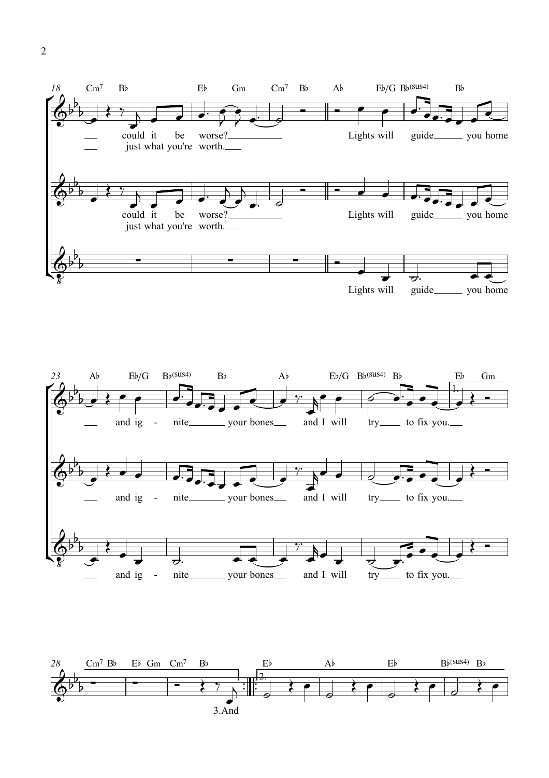

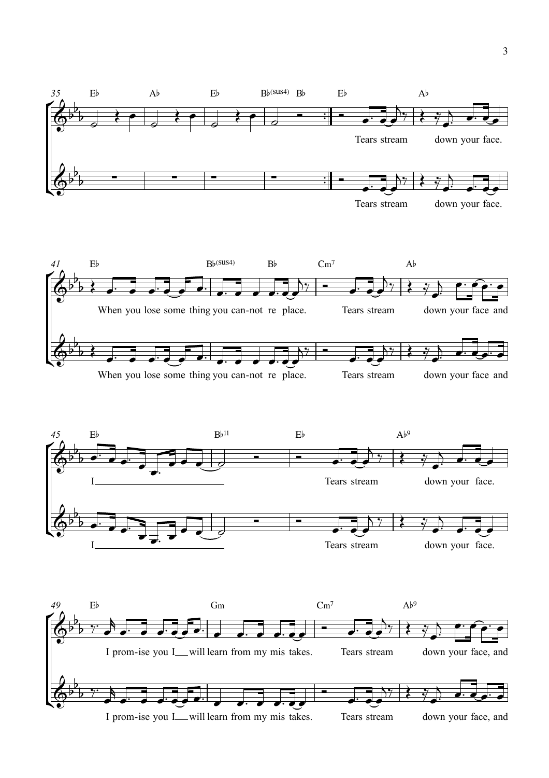